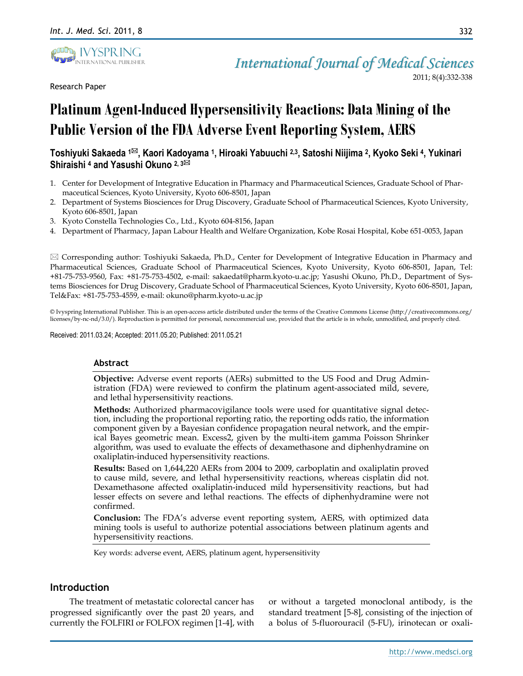

Research Paper

*International Journal of Medical Sciences*

2011; 8(4):332-338

# **Platinum Agent-Induced Hypersensitivity Reactions: Data Mining of the Public Version of the FDA Adverse Event Reporting System, AERS**

# **Toshiyuki Sakaeda <sup>1</sup>, Kaori Kadoyama <sup>1</sup> , Hiroaki Yabuuchi 2,3 , Satoshi Niijima <sup>2</sup> , Kyoko Seki <sup>4</sup> , Yukinari Shiraishi <sup>4</sup> and Yasushi Okuno 2, 3**

- 1. Center for Development of Integrative Education in Pharmacy and Pharmaceutical Sciences, Graduate School of Pharmaceutical Sciences, Kyoto University, Kyoto 606-8501, Japan
- 2. Department of Systems Biosciences for Drug Discovery, Graduate School of Pharmaceutical Sciences, Kyoto University, Kyoto 606-8501, Japan
- 3. Kyoto Constella Technologies Co., Ltd., Kyoto 604-8156, Japan
- 4. Department of Pharmacy, Japan Labour Health and Welfare Organization, Kobe Rosai Hospital, Kobe 651-0053, Japan

 $\boxtimes$  Corresponding author: Toshiyuki Sakaeda, Ph.D., Center for Development of Integrative Education in Pharmacy and Pharmaceutical Sciences, Graduate School of Pharmaceutical Sciences, Kyoto University, Kyoto 606-8501, Japan, Tel: +81-75-753-9560, Fax: +81-75-753-4502, e-mail: sakaedat@pharm.kyoto-u.ac.jp; Yasushi Okuno, Ph.D., Department of Systems Biosciences for Drug Discovery, Graduate School of Pharmaceutical Sciences, Kyoto University, Kyoto 606-8501, Japan, Tel&Fax: +81-75-753-4559, e-mail: okuno@pharm.kyoto-u.ac.jp

© Ivyspring International Publisher. This is an open-access article distributed under the terms of the Creative Commons License (http://creativecommons.org/ licenses/by-nc-nd/3.0/). Reproduction is permitted for personal, noncommercial use, provided that the article is in whole, unmodified, and properly cited.

Received: 2011.03.24; Accepted: 2011.05.20; Published: 2011.05.21

## **Abstract**

**Objective:** Adverse event reports (AERs) submitted to the US Food and Drug Administration (FDA) were reviewed to confirm the platinum agent-associated mild, severe, and lethal hypersensitivity reactions.

**Methods:** Authorized pharmacovigilance tools were used for quantitative signal detection, including the proportional reporting ratio, the reporting odds ratio, the information component given by a Bayesian confidence propagation neural network, and the empirical Bayes geometric mean. Excess2, given by the multi-item gamma Poisson Shrinker algorithm, was used to evaluate the effects of dexamethasone and diphenhydramine on oxaliplatin-induced hypersensitivity reactions.

**Results:** Based on 1,644,220 AERs from 2004 to 2009, carboplatin and oxaliplatin proved to cause mild, severe, and lethal hypersensitivity reactions, whereas cisplatin did not. Dexamethasone affected oxaliplatin-induced mild hypersensitivity reactions, but had lesser effects on severe and lethal reactions. The effects of diphenhydramine were not confirmed.

**Conclusion:** The FDA's adverse event reporting system, AERS, with optimized data mining tools is useful to authorize potential associations between platinum agents and hypersensitivity reactions.

Key words: adverse event, AERS, platinum agent, hypersensitivity

## **Introduction**

The treatment of metastatic colorectal cancer has progressed significantly over the past 20 years, and currently the FOLFIRI or FOLFOX regimen [1-4], with or without a targeted monoclonal antibody, is the standard treatment [5-8], consisting of the injection of a bolus of 5-fluorouracil (5-FU), irinotecan or oxali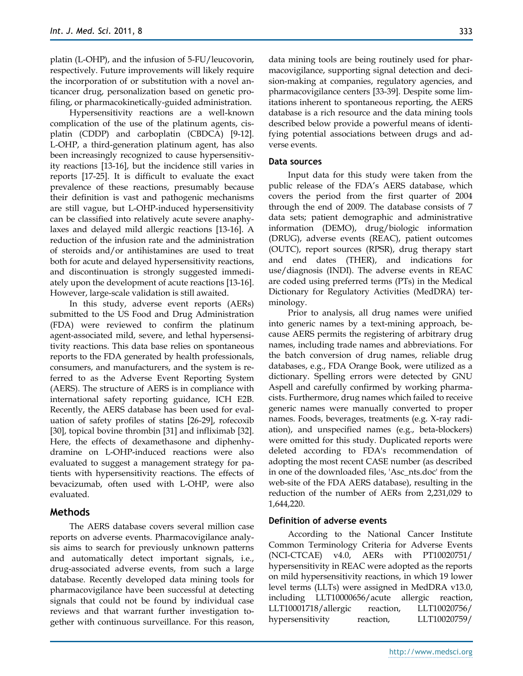platin (L-OHP), and the infusion of 5-FU/leucovorin, respectively. Future improvements will likely require the incorporation of or substitution with a novel anticancer drug, personalization based on genetic profiling, or pharmacokinetically-guided administration.

Hypersensitivity reactions are a well-known complication of the use of the platinum agents, cisplatin (CDDP) and carboplatin (CBDCA) [9-12]. L-OHP, a third-generation platinum agent, has also been increasingly recognized to cause hypersensitivity reactions [13-16], but the incidence still varies in reports [17-25]. It is difficult to evaluate the exact prevalence of these reactions, presumably because their definition is vast and pathogenic mechanisms are still vague, but L-OHP-induced hypersensitivity can be classified into relatively acute severe anaphylaxes and delayed mild allergic reactions [13-16]. A reduction of the infusion rate and the administration of steroids and/or antihistamines are used to treat both for acute and delayed hypersensitivity reactions, and discontinuation is strongly suggested immediately upon the development of acute reactions [13-16]. However, large-scale validation is still awaited.

In this study, adverse event reports (AERs) submitted to the US Food and Drug Administration (FDA) were reviewed to confirm the platinum agent-associated mild, severe, and lethal hypersensitivity reactions. This data base relies on spontaneous reports to the FDA generated by health professionals, consumers, and manufacturers, and the system is referred to as the Adverse Event Reporting System (AERS). The structure of AERS is in compliance with international safety reporting guidance, ICH E2B. Recently, the AERS database has been used for evaluation of safety profiles of statins [26-29], rofecoxib [30], topical bovine thrombin [31] and infliximab [32]. Here, the effects of dexamethasone and diphenhydramine on L-OHP-induced reactions were also evaluated to suggest a management strategy for patients with hypersensitivity reactions. The effects of bevacizumab, often used with L-OHP, were also evaluated.

# **Methods**

The AERS database covers several million case reports on adverse events. Pharmacovigilance analysis aims to search for previously unknown patterns and automatically detect important signals, i.e., drug-associated adverse events, from such a large database. Recently developed data mining tools for pharmacovigilance have been successful at detecting signals that could not be found by individual case reviews and that warrant further investigation together with continuous surveillance. For this reason, data mining tools are being routinely used for pharmacovigilance, supporting signal detection and decision-making at companies, regulatory agencies, and pharmacovigilance centers [33-39]. Despite some limitations inherent to spontaneous reporting, the AERS database is a rich resource and the data mining tools described below provide a powerful means of identifying potential associations between drugs and adverse events.

#### **Data sources**

Input data for this study were taken from the public release of the FDA's AERS database, which covers the period from the first quarter of 2004 through the end of 2009. The database consists of 7 data sets; patient demographic and administrative information (DEMO), drug/biologic information (DRUG), adverse events (REAC), patient outcomes (OUTC), report sources (RPSR), drug therapy start and end dates (THER), and indications for use/diagnosis (INDI). The adverse events in REAC are coded using preferred terms (PTs) in the Medical Dictionary for Regulatory Activities (MedDRA) terminology.

Prior to analysis, all drug names were unified into generic names by a text-mining approach, because AERS permits the registering of arbitrary drug names, including trade names and abbreviations. For the batch conversion of drug names, reliable drug databases, e.g., FDA Orange Book, were utilized as a dictionary. Spelling errors were detected by GNU Aspell and carefully confirmed by working pharmacists. Furthermore, drug names which failed to receive generic names were manually converted to proper names. Foods, beverages, treatments (e.g. X-ray radiation), and unspecified names (e.g., beta-blockers) were omitted for this study. Duplicated reports were deleted according to FDA's recommendation of adopting the most recent CASE number (as described in one of the downloaded files, 'Asc\_nts.doc' from the web-site of the FDA AERS database), resulting in the reduction of the number of AERs from 2,231,029 to 1,644,220.

## **Definition of adverse events**

According to the National Cancer Institute Common Terminology Criteria for Adverse Events (NCI-CTCAE) v4.0, AERs with PT10020751/ hypersensitivity in REAC were adopted as the reports on mild hypersensitivity reactions, in which 19 lower level terms (LLTs) were assigned in MedDRA v13.0, including LLT10000656/acute allergic reaction, LLT10001718/allergic reaction, LLT10020756/ hypersensitivity reaction, LLT10020759/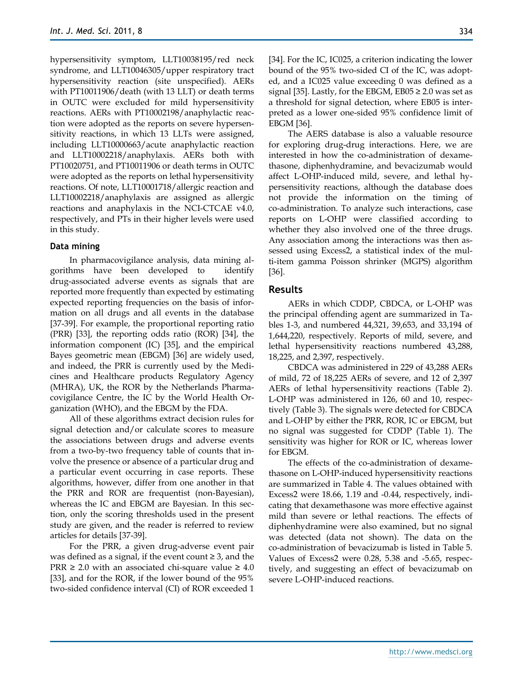hypersensitivity symptom, LLT10038195/red neck syndrome, and LLT10046305/upper respiratory tract hypersensitivity reaction (site unspecified). AERs with PT10011906/death (with 13 LLT) or death terms in OUTC were excluded for mild hypersensitivity reactions. AERs with PT10002198/anaphylactic reaction were adopted as the reports on severe hypersensitivity reactions, in which 13 LLTs were assigned, including LLT10000663/acute anaphylactic reaction and LLT10002218/anaphylaxis. AERs both with PT10020751, and PT10011906 or death terms in OUTC were adopted as the reports on lethal hypersensitivity reactions. Of note, LLT10001718/allergic reaction and LLT10002218/anaphylaxis are assigned as allergic reactions and anaphylaxis in the NCI-CTCAE v4.0, respectively, and PTs in their higher levels were used in this study.

#### **Data mining**

In pharmacovigilance analysis, data mining algorithms have been developed to identify drug-associated adverse events as signals that are reported more frequently than expected by estimating expected reporting frequencies on the basis of information on all drugs and all events in the database [37-39]. For example, the proportional reporting ratio (PRR) [33], the reporting odds ratio (ROR) [34], the information component (IC) [35], and the empirical Bayes geometric mean (EBGM) [36] are widely used, and indeed, the PRR is currently used by the Medicines and Healthcare products Regulatory Agency (MHRA), UK, the ROR by the Netherlands Pharmacovigilance Centre, the IC by the World Health Organization (WHO), and the EBGM by the FDA.

All of these algorithms extract decision rules for signal detection and/or calculate scores to measure the associations between drugs and adverse events from a two-by-two frequency table of counts that involve the presence or absence of a particular drug and a particular event occurring in case reports. These algorithms, however, differ from one another in that the PRR and ROR are frequentist (non-Bayesian), whereas the IC and EBGM are Bayesian. In this section, only the scoring thresholds used in the present study are given, and the reader is referred to review articles for details [37-39].

For the PRR, a given drug-adverse event pair was defined as a signal, if the event count  $\geq 3$ , and the PRR  $\geq$  2.0 with an associated chi-square value  $\geq$  4.0 [33], and for the ROR, if the lower bound of the 95% two-sided confidence interval (CI) of ROR exceeded 1 [34]. For the IC, IC025, a criterion indicating the lower bound of the 95% two-sided CI of the IC, was adopted, and a IC025 value exceeding 0 was defined as a signal [35]. Lastly, for the EBGM, EB05  $\geq$  2.0 was set as a threshold for signal detection, where EB05 is interpreted as a lower one-sided 95% confidence limit of EBGM [36].

The AERS database is also a valuable resource for exploring drug-drug interactions. Here, we are interested in how the co-administration of dexamethasone, diphenhydramine, and bevacizumab would affect L-OHP-induced mild, severe, and lethal hypersensitivity reactions, although the database does not provide the information on the timing of co-administration. To analyze such interactions, case reports on L-OHP were classified according to whether they also involved one of the three drugs. Any association among the interactions was then assessed using Excess2, a statistical index of the multi-item gamma Poisson shrinker (MGPS) algorithm [36].

## **Results**

AERs in which CDDP, CBDCA, or L-OHP was the principal offending agent are summarized in Tables 1-3, and numbered 44,321, 39,653, and 33,194 of 1,644,220, respectively. Reports of mild, severe, and lethal hypersensitivity reactions numbered 43,288, 18,225, and 2,397, respectively.

CBDCA was administered in 229 of 43,288 AERs of mild, 72 of 18,225 AERs of severe, and 12 of 2,397 AERs of lethal hypersensitivity reactions (Table 2). L-OHP was administered in 126, 60 and 10, respectively (Table 3). The signals were detected for CBDCA and L-OHP by either the PRR, ROR, IC or EBGM, but no signal was suggested for CDDP (Table 1). The sensitivity was higher for ROR or IC, whereas lower for EBGM.

The effects of the co-administration of dexamethasone on L-OHP-induced hypersensitivity reactions are summarized in Table 4. The values obtained with Excess2 were 18.66, 1.19 and -0.44, respectively, indicating that dexamethasone was more effective against mild than severe or lethal reactions. The effects of diphenhydramine were also examined, but no signal was detected (data not shown). The data on the co-administration of bevacizumab is listed in Table 5. Values of Excess2 were 0.28, 5.38 and -5.65, respectively, and suggesting an effect of bevacizumab on severe L-OHP-induced reactions.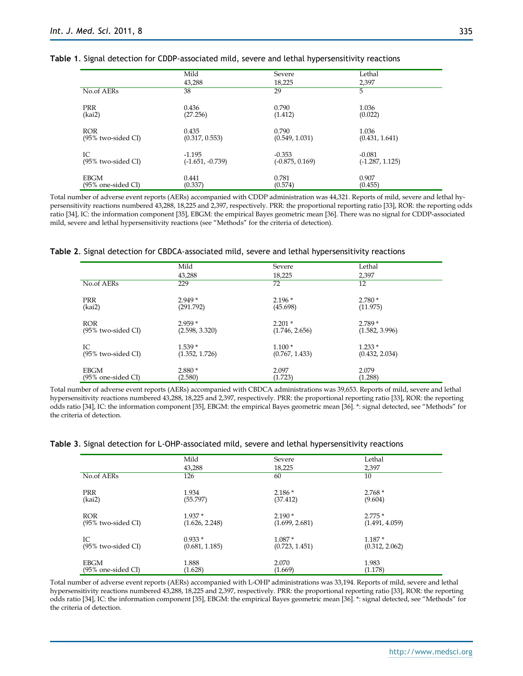|                       | Mild               | Severe            | Lethal            |
|-----------------------|--------------------|-------------------|-------------------|
|                       | 43,288             | 18,225            | 2,397             |
| No.of AERs            | 38                 | 29                | 5                 |
| PRR                   | 0.436              | 0.790             | 1.036             |
| (kai2)                | (27.256)           | (1.412)           | (0.022)           |
| <b>ROR</b>            | 0.435              | 0.790             | 1.036             |
| $(95\%$ two-sided CI) | (0.317, 0.553)     | (0.549, 1.031)    | (0.431, 1.641)    |
| IC                    | $-1.195$           | $-0.353$          | $-0.081$          |
| $(95\%$ two-sided CI) | $(-1.651, -0.739)$ | $(-0.875, 0.169)$ | $(-1.287, 1.125)$ |
| <b>EBGM</b>           | 0.441              | 0.781             | 0.907             |
| (95% one-sided CI)    | (0.337)            | (0.574)           | (0.455)           |

|  |  | Table 1. Signal detection for CDDP-associated mild, severe and lethal hypersensitivity reactions |  |  |  |  |  |
|--|--|--------------------------------------------------------------------------------------------------|--|--|--|--|--|
|--|--|--------------------------------------------------------------------------------------------------|--|--|--|--|--|

Total number of adverse event reports (AERs) accompanied with CDDP administration was 44,321. Reports of mild, severe and lethal hypersensitivity reactions numbered 43,288, 18,225 and 2,397, respectively. PRR: the proportional reporting ratio [33], ROR: the reporting odds ratio [34], IC: the information component [35], EBGM: the empirical Bayes geometric mean [36]. There was no signal for CDDP-associated mild, severe and lethal hypersensitivity reactions (see "Methods" for the criteria of detection).

#### **Table 2**. Signal detection for CBDCA-associated mild, severe and lethal hypersensitivity reactions

|                       | Mild           | Severe         | Lethal         |  |
|-----------------------|----------------|----------------|----------------|--|
|                       | 43,288         | 18,225         | 2,397          |  |
| No.of AERs            | 229            | 72             | 12             |  |
| PRR                   | $2.949*$       | $2.196*$       | $2.780*$       |  |
| (kai2)                | (291.792)      | (45.698)       | (11.975)       |  |
| <b>ROR</b>            | $2.959*$       | $2.201*$       | $2.789*$       |  |
| $(95\%$ two-sided CI) | (2.598, 3.320) | (1.746, 2.656) | (1.582, 3.996) |  |
| IC                    | $1.539*$       | $1.100*$       | $1.233*$       |  |
| $(95\%$ two-sided CI) | (1.352, 1.726) | (0.767, 1.433) | (0.432, 2.034) |  |
| <b>EBGM</b>           | $2.880*$       | 2.097          | 2.079          |  |
| $(95\%$ one-sided CI) | (2.580)        | (1.723)        | (1.288)        |  |

Total number of adverse event reports (AERs) accompanied with CBDCA administrations was 39,653. Reports of mild, severe and lethal hypersensitivity reactions numbered 43,288, 18,225 and 2,397, respectively. PRR: the proportional reporting ratio [33], ROR: the reporting odds ratio [34], IC: the information component [35], EBGM: the empirical Bayes geometric mean [36]. \*: signal detected, see "Methods" for the criteria of detection.

#### **Table 3**. Signal detection for L-OHP-associated mild, severe and lethal hypersensitivity reactions

|                       | Mild           | Severe         | Lethal         |
|-----------------------|----------------|----------------|----------------|
|                       | 43,288         | 18,225         | 2,397          |
| No.of AERs            | 126            | 60             | 10             |
| <b>PRR</b>            | 1.934          | $2.186*$       | $2.768*$       |
| (kai2)                | (55.797)       | (37.412)       | (9.604)        |
| <b>ROR</b>            | $1.937*$       | $2.190*$       | $2.775*$       |
| $(95\%$ two-sided CI) | (1.626, 2.248) | (1.699, 2.681) | (1.491, 4.059) |
| IC                    | $0.933*$       | $1.087*$       | $1.187*$       |
| $(95\%$ two-sided CI) | (0.681, 1.185) | (0.723, 1.451) | (0.312, 2.062) |
| <b>EBGM</b>           | 1.888          | 2.070          | 1.983          |
| (95% one-sided CI)    | (1.628)        | (1.669)        | (1.178)        |

Total number of adverse event reports (AERs) accompanied with L-OHP administrations was 33,194. Reports of mild, severe and lethal hypersensitivity reactions numbered 43,288, 18,225 and 2,397, respectively. PRR: the proportional reporting ratio [33], ROR: the reporting odds ratio [34], IC: the information component [35], EBGM: the empirical Bayes geometric mean [36]. \*: signal detected, see "Methods" for the criteria of detection.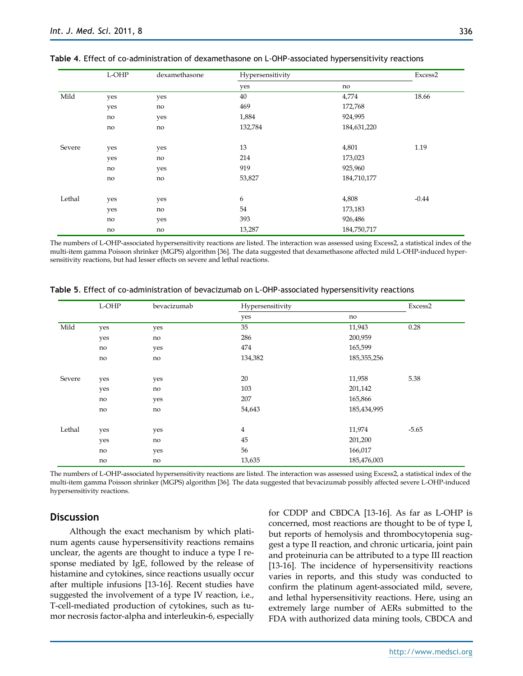|        | L-OHP | dexamethasone | Hypersensitivity |             | Excess2 |
|--------|-------|---------------|------------------|-------------|---------|
|        |       |               | yes              | no          |         |
| Mild   | yes   | yes           | 40               | 4,774       | 18.66   |
|        | yes   | no            | 469              | 172,768     |         |
|        | no    | yes           | 1,884            | 924,995     |         |
|        | no    | no            | 132,784          | 184,631,220 |         |
|        |       |               |                  |             |         |
| Severe | yes   | yes           | 13               | 4,801       | 1.19    |
|        | yes   | no            | 214              | 173,023     |         |
|        | no    | yes           | 919              | 925,960     |         |
|        | no    | no            | 53,827           | 184,710,177 |         |
|        |       |               |                  |             |         |
| Lethal | yes   | yes           | 6                | 4,808       | $-0.44$ |
|        | yes   | no            | 54               | 173,183     |         |
|        | no    | yes           | 393              | 926,486     |         |
|        | no    | no            | 13,287           | 184,750,717 |         |

#### **Table 4**. Effect of co-administration of dexamethasone on L-OHP-associated hypersensitivity reactions

The numbers of L-OHP-associated hypersensitivity reactions are listed. The interaction was assessed using Excess2, a statistical index of the multi-item gamma Poisson shrinker (MGPS) algorithm [36]. The data suggested that dexamethasone affected mild L-OHP-induced hypersensitivity reactions, but had lesser effects on severe and lethal reactions.

|        | L-OHP | bevacizumab | Hypersensitivity |               |         |
|--------|-------|-------------|------------------|---------------|---------|
|        |       |             | yes              | no            |         |
| Mild   | yes   | yes         | 35               | 11,943        | 0.28    |
|        | yes   | no          | 286              | 200,959       |         |
|        | no    | yes         | 474              | 165,599       |         |
|        | no    | no          | 134,382          | 185, 355, 256 |         |
|        |       |             |                  |               |         |
| Severe | yes   | yes         | 20               | 11,958        | 5.38    |
|        | yes   | no          | 103              | 201,142       |         |
|        | no    | yes         | 207              | 165,866       |         |
|        | no    | no          | 54,643           | 185,434,995   |         |
|        |       |             |                  |               |         |
| Lethal | yes   | yes         | $\overline{4}$   | 11,974        | $-5.65$ |
|        | yes   | no          | 45               | 201,200       |         |
|        | no    | yes         | 56               | 166,017       |         |
|        | no    | no          | 13,635           | 185,476,003   |         |

**Table 5**. Effect of co-administration of bevacizumab on L-OHP-associated hypersensitivity reactions

The numbers of L-OHP-associated hypersensitivity reactions are listed. The interaction was assessed using Excess2, a statistical index of the multi-item gamma Poisson shrinker (MGPS) algorithm [36]. The data suggested that bevacizumab possibly affected severe L-OHP-induced hypersensitivity reactions.

## **Discussion**

Although the exact mechanism by which platinum agents cause hypersensitivity reactions remains unclear, the agents are thought to induce a type I response mediated by IgE, followed by the release of histamine and cytokines, since reactions usually occur after multiple infusions [13-16]. Recent studies have suggested the involvement of a type IV reaction, i.e., T-cell-mediated production of cytokines, such as tumor necrosis factor-alpha and interleukin-6, especially for CDDP and CBDCA [13-16]. As far as L-OHP is concerned, most reactions are thought to be of type I, but reports of hemolysis and thrombocytopenia suggest a type II reaction, and chronic urticaria, joint pain and proteinuria can be attributed to a type III reaction [13-16]. The incidence of hypersensitivity reactions varies in reports, and this study was conducted to confirm the platinum agent-associated mild, severe, and lethal hypersensitivity reactions. Here, using an extremely large number of AERs submitted to the FDA with authorized data mining tools, CBDCA and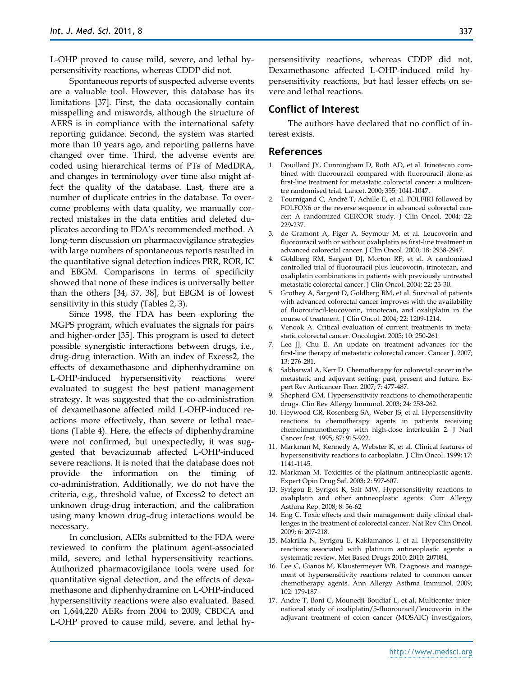L-OHP proved to cause mild, severe, and lethal hypersensitivity reactions, whereas CDDP did not.

Spontaneous reports of suspected adverse events are a valuable tool. However, this database has its limitations [37]. First, the data occasionally contain misspelling and miswords, although the structure of AERS is in compliance with the international safety reporting guidance. Second, the system was started more than 10 years ago, and reporting patterns have changed over time. Third, the adverse events are coded using hierarchical terms of PTs of MedDRA, and changes in terminology over time also might affect the quality of the database. Last, there are a number of duplicate entries in the database. To overcome problems with data quality, we manually corrected mistakes in the data entities and deleted duplicates according to FDA's recommended method. A long-term discussion on pharmacovigilance strategies with large numbers of spontaneous reports resulted in the quantitative signal detection indices PRR, ROR, IC and EBGM. Comparisons in terms of specificity showed that none of these indices is universally better than the others [34, 37, 38], but EBGM is of lowest sensitivity in this study (Tables 2, 3).

Since 1998, the FDA has been exploring the MGPS program, which evaluates the signals for pairs and higher-order [35]. This program is used to detect possible synergistic interactions between drugs, i.e., drug-drug interaction. With an index of Excess2, the effects of dexamethasone and diphenhydramine on L-OHP-induced hypersensitivity reactions were evaluated to suggest the best patient management strategy. It was suggested that the co-administration of dexamethasone affected mild L-OHP-induced reactions more effectively, than severe or lethal reactions (Table 4). Here, the effects of diphenhydramine were not confirmed, but unexpectedly, it was suggested that bevacizumab affected L-OHP-induced severe reactions. It is noted that the database does not provide the information on the timing of co-administration. Additionally, we do not have the criteria, e.g., threshold value, of Excess2 to detect an unknown drug-drug interaction, and the calibration using many known drug-drug interactions would be necessary.

In conclusion, AERs submitted to the FDA were reviewed to confirm the platinum agent-associated mild, severe, and lethal hypersensitivity reactions. Authorized pharmacovigilance tools were used for quantitative signal detection, and the effects of dexamethasone and diphenhydramine on L-OHP-induced hypersensitivity reactions were also evaluated. Based on 1,644,220 AERs from 2004 to 2009, CBDCA and L-OHP proved to cause mild, severe, and lethal hypersensitivity reactions, whereas CDDP did not. Dexamethasone affected L-OHP-induced mild hypersensitivity reactions, but had lesser effects on severe and lethal reactions.

## **Conflict of Interest**

The authors have declared that no conflict of interest exists.

# **References**

- 1. Douillard JY, Cunningham D, Roth AD, et al. Irinotecan combined with fluorouracil compared with fluorouracil alone as first-line treatment for metastatic colorectal cancer: a multicentre randomised trial. Lancet. 2000; 355: 1041-1047.
- 2. Tournigand C, André T, Achille E, et al. FOLFIRI followed by FOLFOX6 or the reverse sequence in advanced colorectal cancer: A randomized GERCOR study. J Clin Oncol. 2004; 22: 229-237.
- 3. de Gramont A, Figer A, Seymour M, et al. Leucovorin and fluorouracil with or without oxaliplatin as first-line treatment in advanced colorectal cancer. J Clin Oncol. 2000; 18: 2938-2947.
- 4. Goldberg RM, Sargent DJ, Morton RF, et al. A randomized controlled trial of fluorouracil plus leucovorin, irinotecan, and oxaliplatin combinations in patients with previously untreated metastatic colorectal cancer. J Clin Oncol. 2004; 22: 23-30.
- 5. Grothey A, Sargent D, Goldberg RM, et al. Survival of patients with advanced colorectal cancer improves with the availability of fluorouracil-leucovorin, irinotecan, and oxaliplatin in the course of treatment. J Clin Oncol. 2004; 22: 1209-1214.
- 6. Venook A. Critical evaluation of current treatments in metastatic colorectal cancer. Oncologist. 2005; 10: 250-261.
- 7. Lee JJ, Chu E. An update on treatment advances for the first-line therapy of metastatic colorectal cancer. Cancer J. 2007; 13: 276-281.
- 8. Sabharwal A, Kerr D. Chemotherapy for colorectal cancer in the metastatic and adjuvant setting: past, present and future. Expert Rev Anticancer Ther. 2007; 7: 477-487.
- 9. Shepherd GM. Hypersensitivity reactions to chemotherapeutic drugs. Clin Rev Allergy Immunol. 2003; 24: 253-262.
- 10. Heywood GR, Rosenberg SA, Weber JS, et al. Hypersensitivity reactions to chemotherapy agents in patients receiving chemoimmunotherapy with high-dose interleukin 2. J Natl Cancer Inst. 1995; 87: 915-922.
- 11. Markman M, Kennedy A, Webster K, et al. Clinical features of hypersensitivity reactions to carboplatin. J Clin Oncol. 1999; 17: 1141-1145.
- 12. Markman M. Toxicities of the platinum antineoplastic agents. Expert Opin Drug Saf. 2003; 2: 597-607.
- 13. Syrigou E, Syrigos K, Saif MW. Hypersensitivity reactions to oxaliplatin and other antineoplastic agents. Curr Allergy Asthma Rep. 2008; 8: 56-62
- 14. Eng C. Toxic effects and their management: daily clinical challenges in the treatment of colorectal cancer. Nat Rev Clin Oncol. 2009; 6: 207-218.
- 15. Makrilia N, Syrigou E, Kaklamanos I, et al. Hypersensitivity reactions associated with platinum antineoplastic agents: a systematic review. Met Based Drugs 2010; 2010: 207084.
- 16. Lee C, Gianos M, Klaustermeyer WB. Diagnosis and management of hypersensitivity reactions related to common cancer chemotherapy agents. Ann Allergy Asthma Immunol. 2009; 102: 179-187.
- 17. Andre T, Boni C, Mounedji-Boudiaf L, et al. Multicenter international study of oxaliplatin/5-fluorouracil/leucovorin in the adjuvant treatment of colon cancer (MOSAIC) investigators,